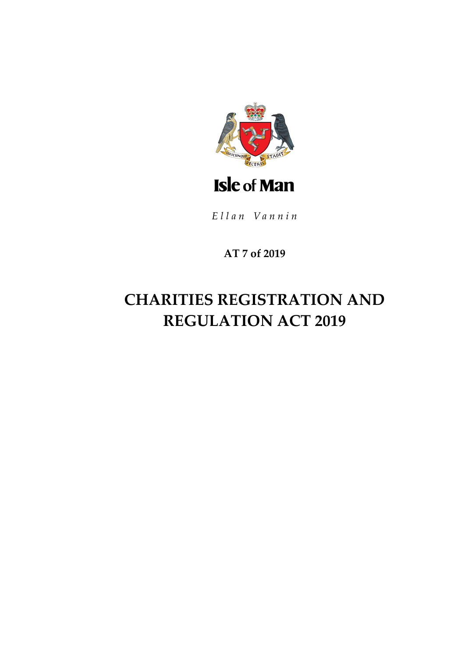

**Isle of Man** 

Ellan Vannin

**AT 7 of 2019**

# **CHARITIES REGISTRATION AND REGULATION ACT 2019**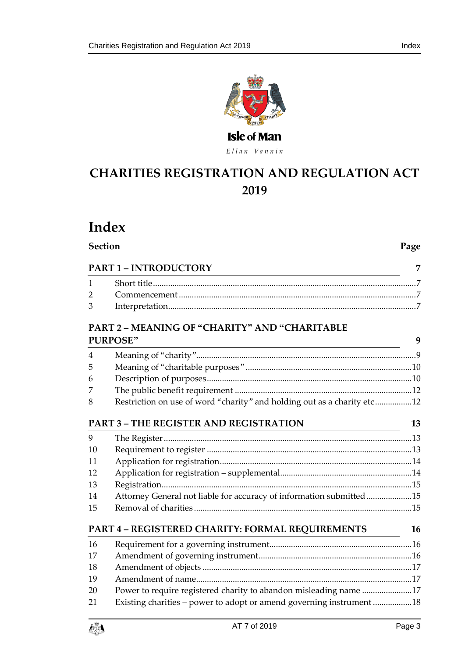

## **CHARITIES REGISTRATION AND REGULATION ACT**

## **Index**

| Section        |                                                                                                                                          | Page      |
|----------------|------------------------------------------------------------------------------------------------------------------------------------------|-----------|
|                | <b>PART 1 - INTRODUCTORY</b>                                                                                                             | 7         |
| 1              |                                                                                                                                          |           |
| $\overline{2}$ |                                                                                                                                          |           |
| 3              |                                                                                                                                          |           |
|                | PART 2 - MEANING OF "CHARITY" AND "CHARITABLE                                                                                            |           |
|                | <b>PURPOSE"</b><br><u> 1989 - Johann Barn, mars ann an t-Amhain Aonaichte ann an t-Amhain Aonaichte ann an t-Amhain Aonaichte ann an</u> | 9         |
| $\overline{4}$ |                                                                                                                                          |           |
| 5              |                                                                                                                                          |           |
| 6              |                                                                                                                                          |           |
| 7              |                                                                                                                                          |           |
| 8              | Restriction on use of word "charity" and holding out as a charity etc12                                                                  |           |
|                | <b>PART 3 - THE REGISTER AND REGISTRATION</b>                                                                                            | 13        |
| 9              |                                                                                                                                          |           |
| 10             |                                                                                                                                          |           |
| 11             |                                                                                                                                          |           |
| 12             |                                                                                                                                          |           |
| 13             |                                                                                                                                          |           |
| 14             | Attorney General not liable for accuracy of information submitted15                                                                      |           |
| 15             |                                                                                                                                          |           |
|                | PART 4 – REGISTERED CHARITY: FORMAL REQUIREMENTS                                                                                         | <b>16</b> |
| 16             |                                                                                                                                          |           |
| 17             |                                                                                                                                          |           |
| 18             |                                                                                                                                          |           |
| 19             |                                                                                                                                          |           |
| 20             | Power to require registered charity to abandon misleading name 17                                                                        |           |
| 21             | Existing charities - power to adopt or amend governing instrument 18                                                                     |           |

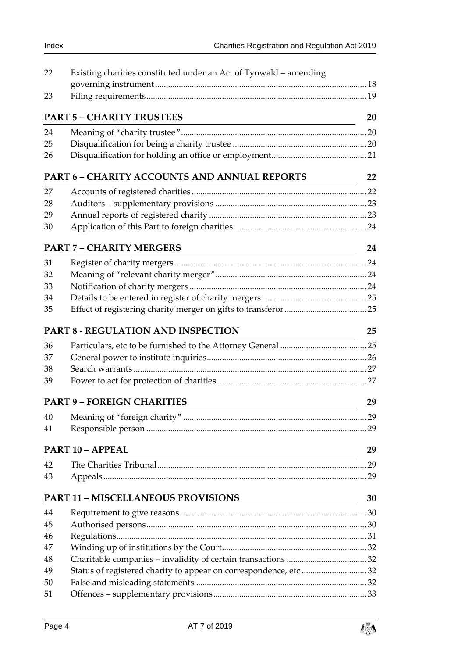| 22 | Existing charities constituted under an Act of Tynwald – amending                                                                              |    |
|----|------------------------------------------------------------------------------------------------------------------------------------------------|----|
|    |                                                                                                                                                |    |
| 23 |                                                                                                                                                |    |
|    | <b>PART 5 - CHARITY TRUSTEES</b>                                                                                                               | 20 |
| 24 |                                                                                                                                                |    |
| 25 |                                                                                                                                                |    |
| 26 |                                                                                                                                                |    |
|    | PART 6 - CHARITY ACCOUNTS AND ANNUAL REPORTS                                                                                                   | 22 |
| 27 |                                                                                                                                                |    |
| 28 |                                                                                                                                                |    |
| 29 |                                                                                                                                                |    |
| 30 |                                                                                                                                                |    |
|    | <b>PART 7 - CHARITY MERGERS</b>                                                                                                                | 24 |
| 31 |                                                                                                                                                |    |
| 32 |                                                                                                                                                |    |
| 33 |                                                                                                                                                |    |
| 34 |                                                                                                                                                |    |
| 35 |                                                                                                                                                |    |
|    | <b>PART 8 - REGULATION AND INSPECTION</b>                                                                                                      | 25 |
| 36 |                                                                                                                                                |    |
| 37 |                                                                                                                                                |    |
| 38 |                                                                                                                                                |    |
| 39 |                                                                                                                                                |    |
|    | <b>PART 9 - FOREIGN CHARITIES</b>                                                                                                              | 29 |
|    |                                                                                                                                                |    |
| 41 |                                                                                                                                                |    |
|    | <b>PART 10 - APPEAL</b><br><u> 1989 - Johann Stein, marking and de British and de British and de British and de British and de British and</u> | 29 |
| 42 |                                                                                                                                                |    |
| 43 |                                                                                                                                                |    |
|    | <b>PART 11 - MISCELLANEOUS PROVISIONS</b>                                                                                                      | 30 |
| 44 |                                                                                                                                                |    |
| 45 |                                                                                                                                                |    |
| 46 |                                                                                                                                                |    |
| 47 |                                                                                                                                                |    |
| 48 |                                                                                                                                                |    |
| 49 | Status of registered charity to appear on correspondence, etc 32                                                                               |    |
| 50 |                                                                                                                                                |    |
| 51 |                                                                                                                                                |    |
|    |                                                                                                                                                |    |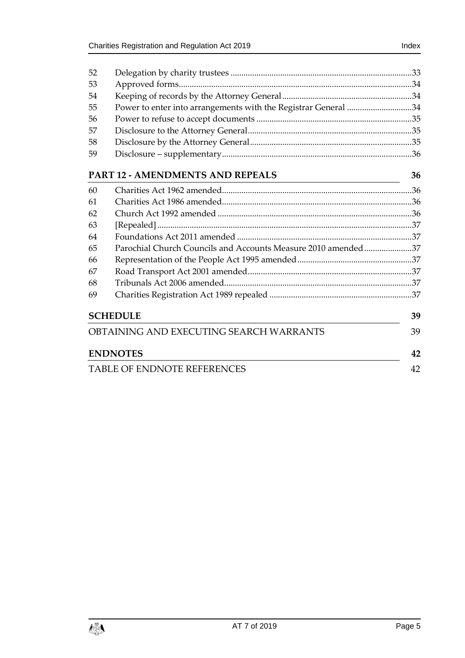| 52 |                                                                |  |
|----|----------------------------------------------------------------|--|
| 53 |                                                                |  |
| 54 |                                                                |  |
| 55 | Power to enter into arrangements with the Registrar General 34 |  |
| 56 |                                                                |  |
| 57 |                                                                |  |
| 58 |                                                                |  |
| 59 |                                                                |  |
|    | <b>DADRES AMERICA CREW AND DEDUCTS</b>                         |  |
|    |                                                                |  |

#### **PART 12 - [AMENDMENTS](#page-35-1) AND REPEALS 36**

| 60                                                         |                                                               |    |
|------------------------------------------------------------|---------------------------------------------------------------|----|
| 61                                                         |                                                               |    |
| 62                                                         |                                                               |    |
| 63                                                         |                                                               |    |
| 64                                                         |                                                               |    |
| 65                                                         | Parochial Church Councils and Accounts Measure 2010 amended37 |    |
| 66                                                         |                                                               |    |
| 67                                                         |                                                               |    |
| 68                                                         |                                                               |    |
| 69                                                         |                                                               |    |
| <b>SCHEDULE</b>                                            |                                                               | 39 |
| OBTAINING AND EXECUTING SEARCH WARRANTS<br><b>ENDNOTES</b> |                                                               | 39 |
|                                                            |                                                               | 42 |
| <b>TABLE OF ENDNOTE REFERENCES</b>                         |                                                               | 42 |

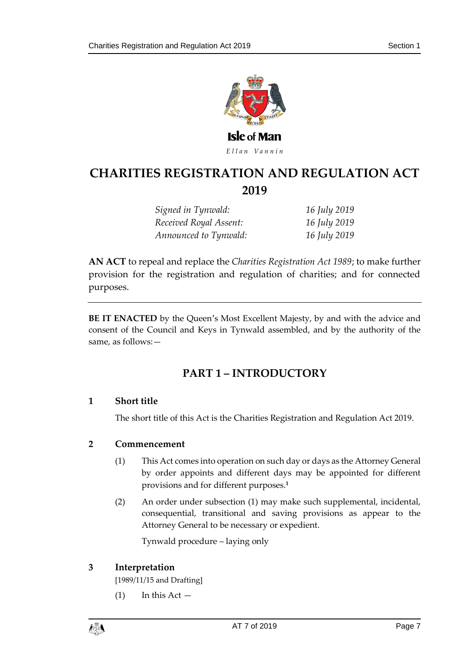

## **CHARITIES REGISTRATION AND REGULATION ACT 2019**

| Signed in Tynwald:     | 16 July 2019 |
|------------------------|--------------|
| Received Royal Assent: | 16 July 2019 |
| Announced to Tynwald:  | 16 July 2019 |

**AN ACT** to repeal and replace the *Charities Registration Act 1989*; to make further provision for the registration and regulation of charities; and for connected purposes.

<span id="page-6-0"></span>**BE IT ENACTED** by the Queen's Most Excellent Majesty, by and with the advice and consent of the Council and Keys in Tynwald assembled, and by the authority of the same, as follows:—

## **PART 1 – INTRODUCTORY**

#### <span id="page-6-1"></span>**1 Short title**

The short title of this Act is the Charities Registration and Regulation Act 2019.

#### <span id="page-6-2"></span>**2 Commencement**

- (1) This Act comes into operation on such day or days as the Attorney General by order appoints and different days may be appointed for different provisions and for different purposes.**<sup>1</sup>**
- (2) An order under subsection (1) may make such supplemental, incidental, consequential, transitional and saving provisions as appear to the Attorney General to be necessary or expedient.

Tynwald procedure – laying only

## <span id="page-6-3"></span>**3 Interpretation**

[1989/11/15 and Drafting]

 $(1)$  In this Act  $-$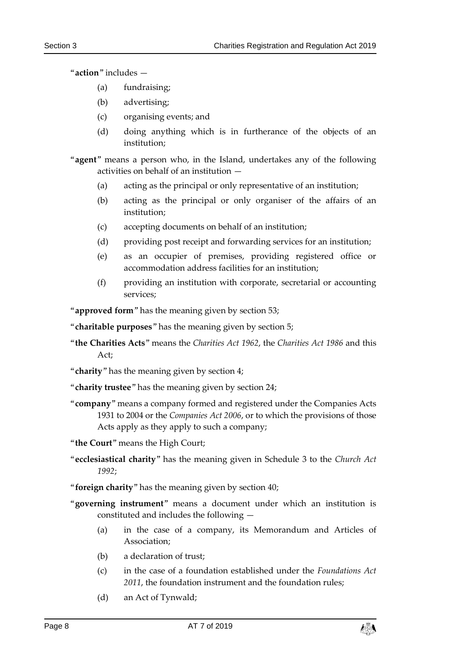"**action**" includes —

- (a) fundraising;
- (b) advertising;
- (c) organising events; and
- (d) doing anything which is in furtherance of the objects of an institution;
- "**agent**" means a person who, in the Island, undertakes any of the following activities on behalf of an institution —
	- (a) acting as the principal or only representative of an institution;
	- (b) acting as the principal or only organiser of the affairs of an institution;
	- (c) accepting documents on behalf of an institution;
	- (d) providing post receipt and forwarding services for an institution;
	- (e) as an occupier of premises, providing registered office or accommodation address facilities for an institution;
	- (f) providing an institution with corporate, secretarial or accounting services;
- "**approved form**" has the meaning given by section 53;

"**charitable purposes**" has the meaning given by section 5;

- "**the Charities Acts**" means the *Charities Act 1962*, the *Charities Act 1986* and this Act;
- "**charity**" has the meaning given by section 4;
- "**charity trustee**" has the meaning given by section 24;
- "**company**" means a company formed and registered under the Companies Acts 1931 to 2004 or the *Companies Act 2006*, or to which the provisions of those Acts apply as they apply to such a company;

"**the Court**" means the High Court;

- "**ecclesiastical charity**" has the meaning given in Schedule 3 to the *Church Act 1992*;
- "**foreign charity**" has the meaning given by section 40;
- "**governing instrument**" means a document under which an institution is constituted and includes the following —
	- (a) in the case of a company, its Memorandum and Articles of Association;
	- (b) a declaration of trust;
	- (c) in the case of a foundation established under the *Foundations Act 2011*, the foundation instrument and the foundation rules;
	- (d) an Act of Tynwald;

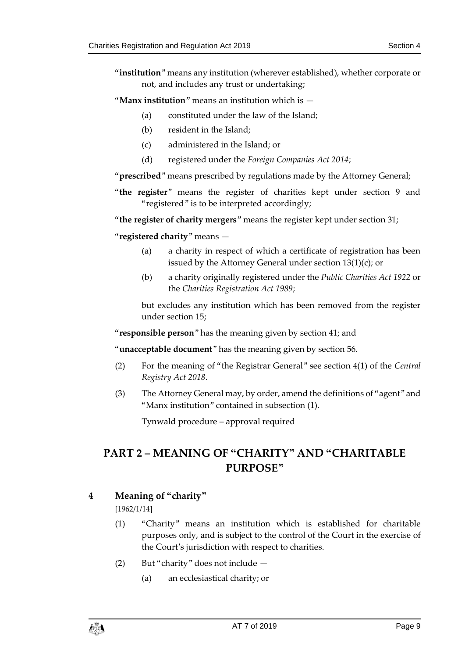"**institution**" means any institution (wherever established), whether corporate or not, and includes any trust or undertaking;

"**Manx institution**" means an institution which is —

- (a) constituted under the law of the Island;
- (b) resident in the Island;
- (c) administered in the Island; or
- (d) registered under the *Foreign Companies Act 2014*;

"**prescribed**" means prescribed by regulations made by the Attorney General;

"**the register**" means the register of charities kept under section 9 and "registered" is to be interpreted accordingly;

"**the register of charity mergers**" means the register kept under section 31;

"**registered charity**" means —

- (a) a charity in respect of which a certificate of registration has been issued by the Attorney General under section 13(1)(c); or
- (b) a charity originally registered under the *Public Charities Act 1922* or the *Charities Registration Act 1989*;

but excludes any institution which has been removed from the register under section 15;

"**responsible person**" has the meaning given by section 41; and

"**unacceptable document**" has the meaning given by section 56.

- (2) For the meaning of "the Registrar General" see section 4(1) of the *Central Registry Act 2018*.
- (3) The Attorney General may, by order, amend the definitions of "agent" and "Manx institution" contained in subsection (1).

Tynwald procedure – approval required

## <span id="page-8-0"></span>**PART 2 – MEANING OF "CHARITY" AND "CHARITABLE PURPOSE"**

#### <span id="page-8-1"></span>**4 Meaning of "charity"**

[1962/1/14]

- (1) "Charity" means an institution which is established for charitable purposes only, and is subject to the control of the Court in the exercise of the Court's jurisdiction with respect to charities.
- (2) But "charity" does not include
	- (a) an ecclesiastical charity; or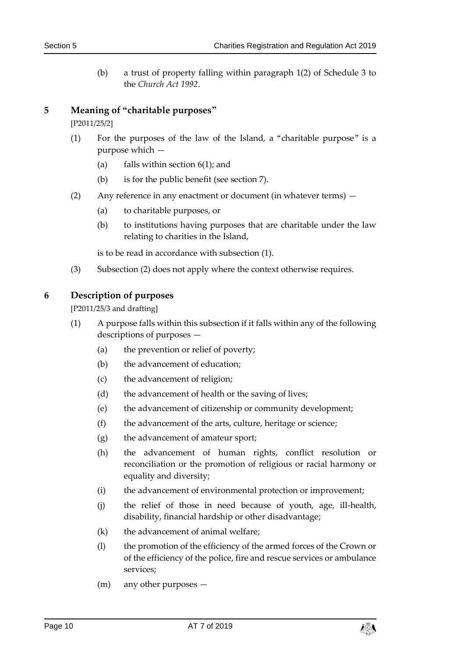(b) a trust of property falling within paragraph 1(2) of Schedule 3 to the *Church Act 1992*.

#### <span id="page-9-0"></span>**5 Meaning of "charitable purposes"**

[P2011/25/2]

- (1) For the purposes of the law of the Island, a "charitable purpose" is a purpose which —
	- (a) falls within section  $6(1)$ ; and
	- (b) is for the public benefit (see section 7).
- (2) Any reference in any enactment or document (in whatever terms)
	- (a) to charitable purposes, or
	- (b) to institutions having purposes that are charitable under the law relating to charities in the Island,

is to be read in accordance with subsection (1).

(3) Subsection (2) does not apply where the context otherwise requires.

#### <span id="page-9-1"></span>**6 Description of purposes**

[P2011/25/3 and drafting]

- (1) A purpose falls within this subsection if it falls within any of the following descriptions of purposes —
	- (a) the prevention or relief of poverty;
	- (b) the advancement of education;
	- (c) the advancement of religion;
	- (d) the advancement of health or the saving of lives;
	- (e) the advancement of citizenship or community development;
	- (f) the advancement of the arts, culture, heritage or science;
	- (g) the advancement of amateur sport;
	- (h) the advancement of human rights, conflict resolution or reconciliation or the promotion of religious or racial harmony or equality and diversity;
	- (i) the advancement of environmental protection or improvement;
	- (j) the relief of those in need because of youth, age, ill-health, disability, financial hardship or other disadvantage;
	- (k) the advancement of animal welfare;
	- (l) the promotion of the efficiency of the armed forces of the Crown or of the efficiency of the police, fire and rescue services or ambulance services;
	- (m) any other purposes —

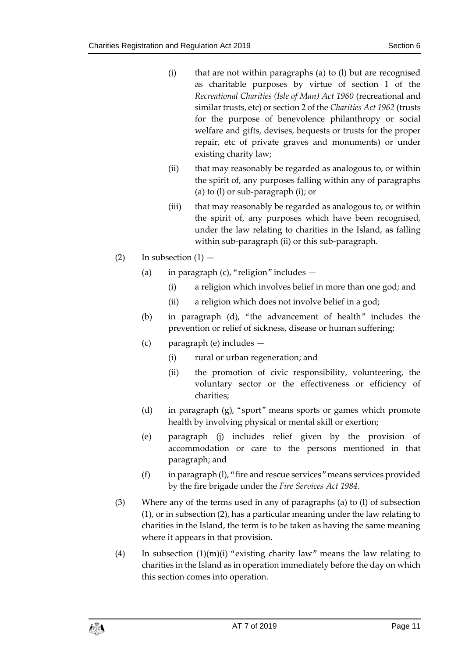- (i) that are not within paragraphs (a) to (l) but are recognised as charitable purposes by virtue of section 1 of the *Recreational Charities (Isle of Man) Act 1960* (recreational and similar trusts, etc) or section 2 of the *Charities Act 1962* (trusts for the purpose of benevolence philanthropy or social welfare and gifts, devises, bequests or trusts for the proper repair, etc of private graves and monuments) or under existing charity law;
- (ii) that may reasonably be regarded as analogous to, or within the spirit of, any purposes falling within any of paragraphs (a) to (l) or sub-paragraph (i); or
- (iii) that may reasonably be regarded as analogous to, or within the spirit of, any purposes which have been recognised, under the law relating to charities in the Island, as falling within sub-paragraph (ii) or this sub-paragraph.
- (2) In subsection  $(1)$ 
	- (a) in paragraph (c), "religion" includes  $-$ 
		- (i) a religion which involves belief in more than one god; and
		- (ii) a religion which does not involve belief in a god;
	- (b) in paragraph (d), "the advancement of health" includes the prevention or relief of sickness, disease or human suffering;
	- (c) paragraph (e) includes
		- (i) rural or urban regeneration; and
		- (ii) the promotion of civic responsibility, volunteering, the voluntary sector or the effectiveness or efficiency of charities;
	- (d) in paragraph (g), "sport" means sports or games which promote health by involving physical or mental skill or exertion;
	- (e) paragraph (j) includes relief given by the provision of accommodation or care to the persons mentioned in that paragraph; and
	- (f) in paragraph (l), "fire and rescue services" means services provided by the fire brigade under the *Fire Services Act 1984*.
- (3) Where any of the terms used in any of paragraphs (a) to (l) of subsection (1), or in subsection (2), has a particular meaning under the law relating to charities in the Island, the term is to be taken as having the same meaning where it appears in that provision.
- (4) In subsection  $(1)(m)(i)$  "existing charity law" means the law relating to charities in the Island as in operation immediately before the day on which this section comes into operation.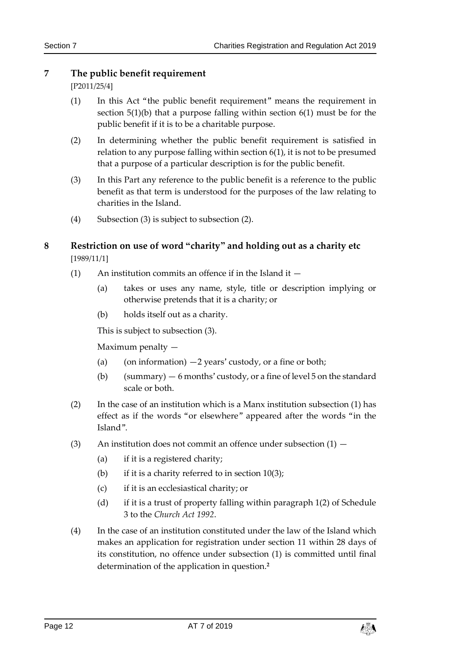#### <span id="page-11-0"></span>**7 The public benefit requirement**

#### [P2011/25/4]

- (1) In this Act "the public benefit requirement" means the requirement in section 5(1)(b) that a purpose falling within section 6(1) must be for the public benefit if it is to be a charitable purpose.
- (2) In determining whether the public benefit requirement is satisfied in relation to any purpose falling within section 6(1), it is not to be presumed that a purpose of a particular description is for the public benefit.
- (3) In this Part any reference to the public benefit is a reference to the public benefit as that term is understood for the purposes of the law relating to charities in the Island.
- (4) Subsection (3) is subject to subsection (2).

#### <span id="page-11-1"></span>**8 Restriction on use of word "charity" and holding out as a charity etc** [1989/11/1]

- (1) An institution commits an offence if in the Island it  $-$ 
	- (a) takes or uses any name, style, title or description implying or otherwise pretends that it is a charity; or
	- (b) holds itself out as a charity.

This is subject to subsection (3).

Maximum penalty —

- (a) (on information)  $-2$  years' custody, or a fine or both;
- (b) (summary)  $-6$  months' custody, or a fine of level 5 on the standard scale or both.
- (2) In the case of an institution which is a Manx institution subsection (1) has effect as if the words "or elsewhere" appeared after the words "in the Island".
- (3) An institution does not commit an offence under subsection  $(1)$ 
	- (a) if it is a registered charity;
	- (b) if it is a charity referred to in section  $10(3)$ ;
	- (c) if it is an ecclesiastical charity; or
	- (d) if it is a trust of property falling within paragraph 1(2) of Schedule 3 to the *Church Act 1992*.
- (4) In the case of an institution constituted under the law of the Island which makes an application for registration under section 11 within 28 days of its constitution, no offence under subsection (1) is committed until final determination of the application in question.**2**

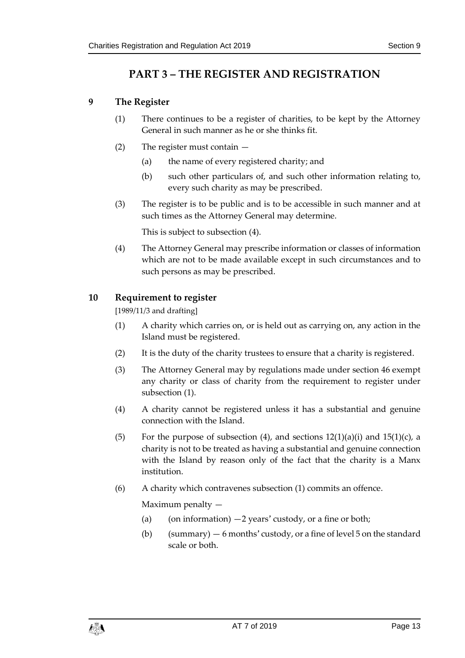## **PART 3 – THE REGISTER AND REGISTRATION**

#### <span id="page-12-1"></span><span id="page-12-0"></span>**9 The Register**

- (1) There continues to be a register of charities, to be kept by the Attorney General in such manner as he or she thinks fit.
- (2) The register must contain
	- (a) the name of every registered charity; and
	- (b) such other particulars of, and such other information relating to, every such charity as may be prescribed.
- (3) The register is to be public and is to be accessible in such manner and at such times as the Attorney General may determine.

This is subject to subsection (4).

(4) The Attorney General may prescribe information or classes of information which are not to be made available except in such circumstances and to such persons as may be prescribed.

#### <span id="page-12-2"></span>**10 Requirement to register**

 $[1989/11/3$  and drafting]

- (1) A charity which carries on, or is held out as carrying on, any action in the Island must be registered.
- (2) It is the duty of the charity trustees to ensure that a charity is registered.
- (3) The Attorney General may by regulations made under section 46 exempt any charity or class of charity from the requirement to register under subsection (1).
- (4) A charity cannot be registered unless it has a substantial and genuine connection with the Island.
- (5) For the purpose of subsection (4), and sections  $12(1)(a)(i)$  and  $15(1)(c)$ , a charity is not to be treated as having a substantial and genuine connection with the Island by reason only of the fact that the charity is a Manx institution.
- (6) A charity which contravenes subsection (1) commits an offence.

Maximum penalty —

- (a) (on information)  $-2$  years' custody, or a fine or both;
- (b) (summary)  $-6$  months' custody, or a fine of level 5 on the standard scale or both.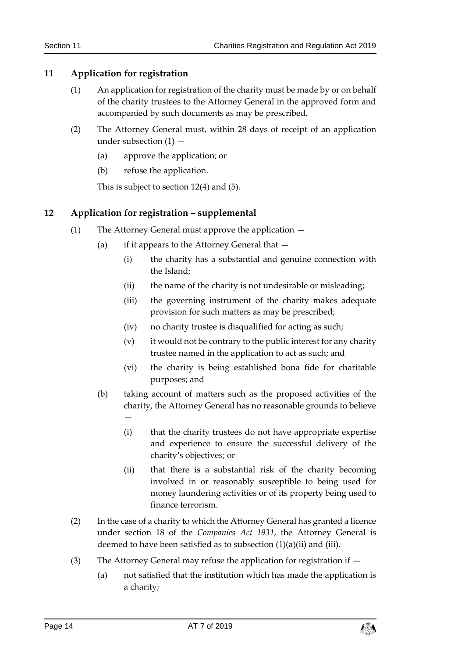#### <span id="page-13-0"></span>**11 Application for registration**

- (1) An application for registration of the charity must be made by or on behalf of the charity trustees to the Attorney General in the approved form and accompanied by such documents as may be prescribed.
- (2) The Attorney General must, within 28 days of receipt of an application under subsection  $(1)$  –
	- (a) approve the application; or
	- (b) refuse the application.

This is subject to section 12(4) and (5).

#### <span id="page-13-1"></span>**12 Application for registration – supplemental**

- (1) The Attorney General must approve the application
	- (a) if it appears to the Attorney General that
		- (i) the charity has a substantial and genuine connection with the Island;
		- (ii) the name of the charity is not undesirable or misleading;
		- (iii) the governing instrument of the charity makes adequate provision for such matters as may be prescribed;
		- (iv) no charity trustee is disqualified for acting as such;
		- (v) it would not be contrary to the public interest for any charity trustee named in the application to act as such; and
		- (vi) the charity is being established bona fide for charitable purposes; and
	- (b) taking account of matters such as the proposed activities of the charity, the Attorney General has no reasonable grounds to believe —
		- (i) that the charity trustees do not have appropriate expertise and experience to ensure the successful delivery of the charity's objectives; or
		- (ii) that there is a substantial risk of the charity becoming involved in or reasonably susceptible to being used for money laundering activities or of its property being used to finance terrorism.
- (2) In the case of a charity to which the Attorney General has granted a licence under section 18 of the *Companies Act 1931*, the Attorney General is deemed to have been satisfied as to subsection (1)(a)(ii) and (iii).
- (3) The Attorney General may refuse the application for registration if
	- (a) not satisfied that the institution which has made the application is a charity;

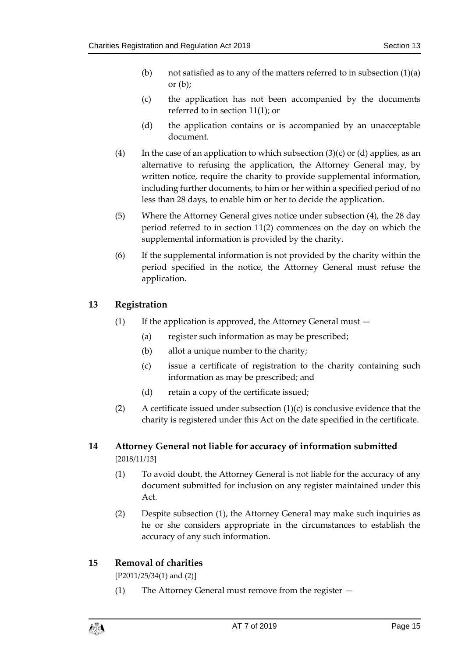- (b) not satisfied as to any of the matters referred to in subsection  $(1)(a)$ or  $(b)$ ;
- (c) the application has not been accompanied by the documents referred to in section 11(1); or
- (d) the application contains or is accompanied by an unacceptable document.
- (4) In the case of an application to which subsection  $(3)(c)$  or (d) applies, as an alternative to refusing the application, the Attorney General may, by written notice, require the charity to provide supplemental information, including further documents, to him or her within a specified period of no less than 28 days, to enable him or her to decide the application.
- (5) Where the Attorney General gives notice under subsection (4), the 28 day period referred to in section 11(2) commences on the day on which the supplemental information is provided by the charity.
- (6) If the supplemental information is not provided by the charity within the period specified in the notice, the Attorney General must refuse the application.

#### <span id="page-14-0"></span>**13 Registration**

- (1) If the application is approved, the Attorney General must  $-$ 
	- (a) register such information as may be prescribed;
	- (b) allot a unique number to the charity;
	- (c) issue a certificate of registration to the charity containing such information as may be prescribed; and
	- (d) retain a copy of the certificate issued;
- (2) A certificate issued under subsection  $(1)(c)$  is conclusive evidence that the charity is registered under this Act on the date specified in the certificate.

#### <span id="page-14-1"></span>**14 Attorney General not liable for accuracy of information submitted** [2018/11/13]

- (1) To avoid doubt, the Attorney General is not liable for the accuracy of any document submitted for inclusion on any register maintained under this Act.
- (2) Despite subsection (1), the Attorney General may make such inquiries as he or she considers appropriate in the circumstances to establish the accuracy of any such information.

#### <span id="page-14-2"></span>**15 Removal of charities**

[P2011/25/34(1) and (2)]

(1) The Attorney General must remove from the register —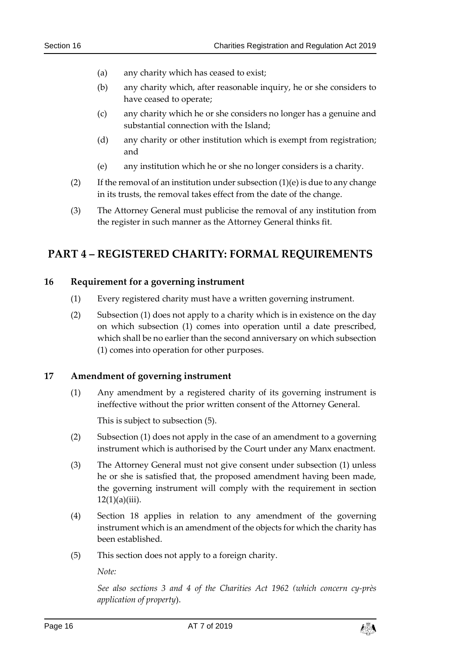- (a) any charity which has ceased to exist;
- (b) any charity which, after reasonable inquiry, he or she considers to have ceased to operate;
- (c) any charity which he or she considers no longer has a genuine and substantial connection with the Island;
- (d) any charity or other institution which is exempt from registration; and
- (e) any institution which he or she no longer considers is a charity.
- (2) If the removal of an institution under subsection  $(1)(e)$  is due to any change in its trusts, the removal takes effect from the date of the change.
- (3) The Attorney General must publicise the removal of any institution from the register in such manner as the Attorney General thinks fit.

## <span id="page-15-1"></span><span id="page-15-0"></span>**PART 4 – REGISTERED CHARITY: FORMAL REQUIREMENTS**

#### **16 Requirement for a governing instrument**

- (1) Every registered charity must have a written governing instrument.
- (2) Subsection (1) does not apply to a charity which is in existence on the day on which subsection (1) comes into operation until a date prescribed, which shall be no earlier than the second anniversary on which subsection (1) comes into operation for other purposes.

#### <span id="page-15-2"></span>**17 Amendment of governing instrument**

(1) Any amendment by a registered charity of its governing instrument is ineffective without the prior written consent of the Attorney General.

This is subject to subsection (5).

- (2) Subsection (1) does not apply in the case of an amendment to a governing instrument which is authorised by the Court under any Manx enactment.
- (3) The Attorney General must not give consent under subsection (1) unless he or she is satisfied that, the proposed amendment having been made, the governing instrument will comply with the requirement in section  $12(1)(a)(iii)$ .
- (4) Section 18 applies in relation to any amendment of the governing instrument which is an amendment of the objects for which the charity has been established.
- (5) This section does not apply to a foreign charity.

*Note:*

*See also sections 3 and 4 of the Charities Act 1962 (which concern cy-près application of property*).

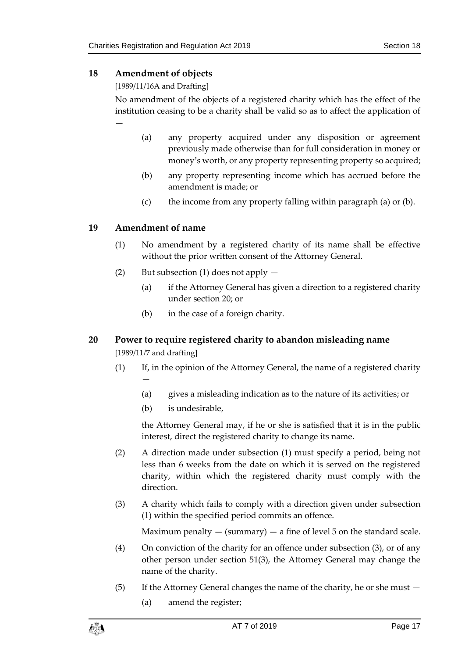#### <span id="page-16-0"></span>**18 Amendment of objects**

—

#### [1989/11/16A and Drafting]

No amendment of the objects of a registered charity which has the effect of the institution ceasing to be a charity shall be valid so as to affect the application of

- (a) any property acquired under any disposition or agreement previously made otherwise than for full consideration in money or money's worth, or any property representing property so acquired;
- (b) any property representing income which has accrued before the amendment is made; or
- (c) the income from any property falling within paragraph (a) or (b).

#### <span id="page-16-1"></span>**19 Amendment of name**

- (1) No amendment by a registered charity of its name shall be effective without the prior written consent of the Attorney General.
- (2) But subsection (1) does not apply  $-$ 
	- (a) if the Attorney General has given a direction to a registered charity under section 20; or
	- (b) in the case of a foreign charity.

## <span id="page-16-2"></span>**20 Power to require registered charity to abandon misleading name**

[1989/11/7 and drafting]

- (1) If, in the opinion of the Attorney General, the name of a registered charity —
	- (a) gives a misleading indication as to the nature of its activities; or
	- (b) is undesirable,

the Attorney General may, if he or she is satisfied that it is in the public interest, direct the registered charity to change its name.

- (2) A direction made under subsection (1) must specify a period, being not less than 6 weeks from the date on which it is served on the registered charity, within which the registered charity must comply with the direction.
- (3) A charity which fails to comply with a direction given under subsection (1) within the specified period commits an offence.

Maximum penalty  $-$  (summary)  $-$  a fine of level 5 on the standard scale.

- (4) On conviction of the charity for an offence under subsection (3), or of any other person under section 51(3), the Attorney General may change the name of the charity.
- (5) If the Attorney General changes the name of the charity, he or she must
	- (a) amend the register;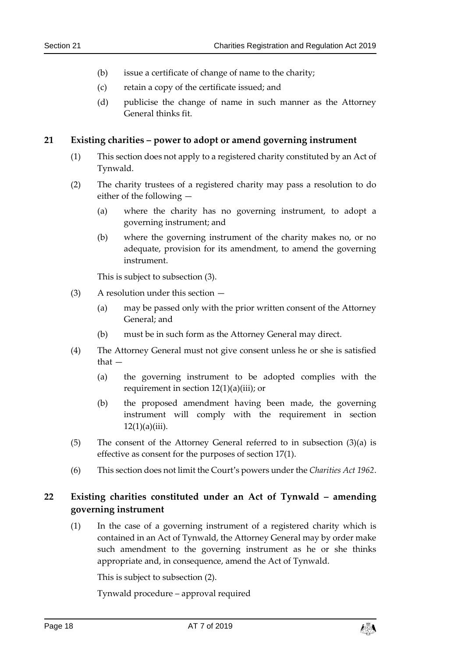- (b) issue a certificate of change of name to the charity;
- (c) retain a copy of the certificate issued; and
- (d) publicise the change of name in such manner as the Attorney General thinks fit.

#### <span id="page-17-0"></span>**21 Existing charities – power to adopt or amend governing instrument**

- (1) This section does not apply to a registered charity constituted by an Act of Tynwald.
- (2) The charity trustees of a registered charity may pass a resolution to do either of the following —
	- (a) where the charity has no governing instrument, to adopt a governing instrument; and
	- (b) where the governing instrument of the charity makes no, or no adequate, provision for its amendment, to amend the governing instrument.

This is subject to subsection (3).

- (3) A resolution under this section
	- (a) may be passed only with the prior written consent of the Attorney General; and
	- (b) must be in such form as the Attorney General may direct.
- (4) The Attorney General must not give consent unless he or she is satisfied that —
	- (a) the governing instrument to be adopted complies with the requirement in section  $12(1)(a)(iii)$ ; or
	- (b) the proposed amendment having been made, the governing instrument will comply with the requirement in section  $12(1)(a)(iii)$ .
- (5) The consent of the Attorney General referred to in subsection (3)(a) is effective as consent for the purposes of section 17(1).
- (6) This section does not limit the Court's powers under the *Charities Act 1962*.

#### <span id="page-17-1"></span>**22 Existing charities constituted under an Act of Tynwald – amending governing instrument**

(1) In the case of a governing instrument of a registered charity which is contained in an Act of Tynwald, the Attorney General may by order make such amendment to the governing instrument as he or she thinks appropriate and, in consequence, amend the Act of Tynwald.

This is subject to subsection (2).

Tynwald procedure – approval required

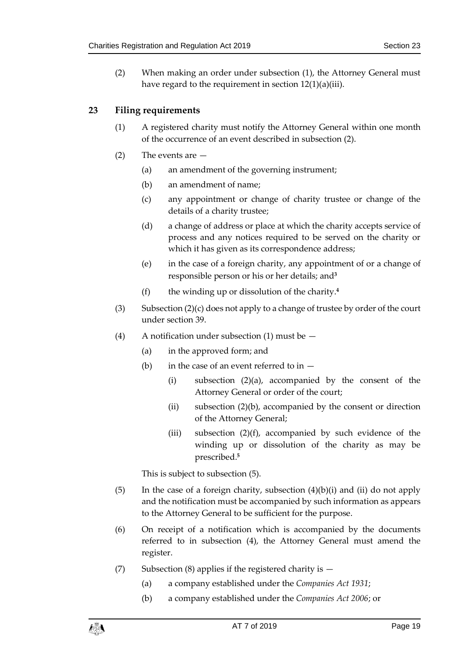(2) When making an order under subsection (1), the Attorney General must have regard to the requirement in section  $12(1)(a)(iii)$ .

#### <span id="page-18-0"></span>**23 Filing requirements**

- (1) A registered charity must notify the Attorney General within one month of the occurrence of an event described in subsection (2).
- (2) The events are
	- (a) an amendment of the governing instrument;
	- (b) an amendment of name;
	- (c) any appointment or change of charity trustee or change of the details of a charity trustee;
	- (d) a change of address or place at which the charity accepts service of process and any notices required to be served on the charity or which it has given as its correspondence address;
	- (e) in the case of a foreign charity, any appointment of or a change of responsible person or his or her details; and**<sup>3</sup>**
	- (f) the winding up or dissolution of the charity.**<sup>4</sup>**
- (3) Subsection (2)(c) does not apply to a change of trustee by order of the court under section 39.
- (4) A notification under subsection (1) must be
	- (a) in the approved form; and
	- (b) in the case of an event referred to in  $-$ 
		- (i) subsection (2)(a), accompanied by the consent of the Attorney General or order of the court;
		- (ii) subsection (2)(b), accompanied by the consent or direction of the Attorney General;
		- (iii) subsection (2)(f), accompanied by such evidence of the winding up or dissolution of the charity as may be prescribed.**<sup>5</sup>**

This is subject to subsection (5).

- (5) In the case of a foreign charity, subsection  $(4)(b)(i)$  and  $(ii)$  do not apply and the notification must be accompanied by such information as appears to the Attorney General to be sufficient for the purpose.
- (6) On receipt of a notification which is accompanied by the documents referred to in subsection (4), the Attorney General must amend the register.
- (7) Subsection (8) applies if the registered charity is  $-$ 
	- (a) a company established under the *Companies Act 1931*;
	- (b) a company established under the *Companies Act 2006*; or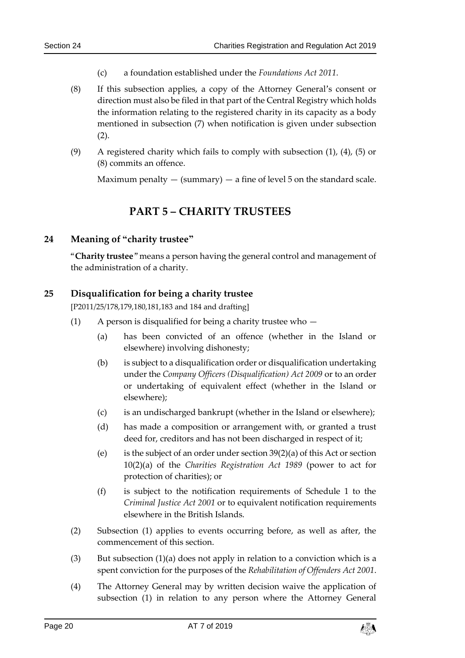- (c) a foundation established under the *Foundations Act 2011*.
- (8) If this subsection applies, a copy of the Attorney General's consent or direction must also be filed in that part of the Central Registry which holds the information relating to the registered charity in its capacity as a body mentioned in subsection (7) when notification is given under subsection (2).
- <span id="page-19-0"></span>(9) A registered charity which fails to comply with subsection (1), (4), (5) or (8) commits an offence.

Maximum penalty  $-$  (summary)  $-$  a fine of level 5 on the standard scale.

## **PART 5 – CHARITY TRUSTEES**

#### <span id="page-19-1"></span>**24 Meaning of "charity trustee"**

"**Charity trustee**" means a person having the general control and management of the administration of a charity.

#### <span id="page-19-2"></span>**25 Disqualification for being a charity trustee**

[P2011/25/178,179,180,181,183 and 184 and drafting]

- (1) A person is disqualified for being a charity trustee who  $-$ 
	- (a) has been convicted of an offence (whether in the Island or elsewhere) involving dishonesty;
	- (b) is subject to a disqualification order or disqualification undertaking under the *Company Officers (Disqualification) Act 2009* or to an order or undertaking of equivalent effect (whether in the Island or elsewhere);
	- (c) is an undischarged bankrupt (whether in the Island or elsewhere);
	- (d) has made a composition or arrangement with, or granted a trust deed for, creditors and has not been discharged in respect of it;
	- (e) is the subject of an order under section 39(2)(a) of this Act or section 10(2)(a) of the *Charities Registration Act 1989* (power to act for protection of charities); or
	- (f) is subject to the notification requirements of Schedule 1 to the *Criminal Justice Act 2001* or to equivalent notification requirements elsewhere in the British Islands.
- (2) Subsection (1) applies to events occurring before, as well as after, the commencement of this section.
- (3) But subsection  $(1)(a)$  does not apply in relation to a conviction which is a spent conviction for the purposes of the *Rehabilitation of Offenders Act 2001*.
- (4) The Attorney General may by written decision waive the application of subsection (1) in relation to any person where the Attorney General

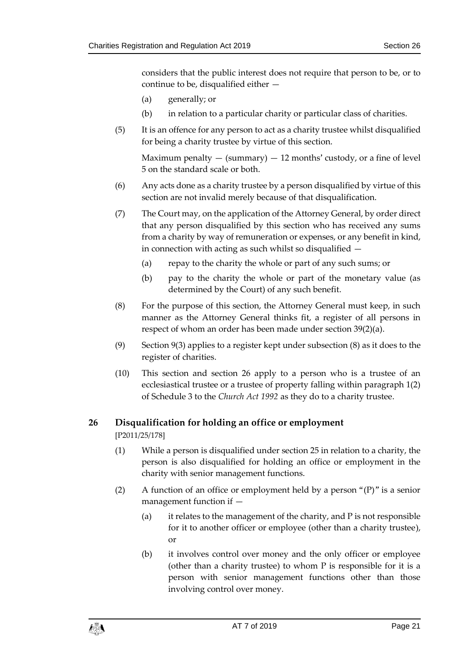considers that the public interest does not require that person to be, or to continue to be, disqualified either —

- (a) generally; or
- (b) in relation to a particular charity or particular class of charities.
- (5) It is an offence for any person to act as a charity trustee whilst disqualified for being a charity trustee by virtue of this section.

Maximum penalty  $-$  (summary)  $-12$  months' custody, or a fine of level 5 on the standard scale or both.

- (6) Any acts done as a charity trustee by a person disqualified by virtue of this section are not invalid merely because of that disqualification.
- (7) The Court may, on the application of the Attorney General, by order direct that any person disqualified by this section who has received any sums from a charity by way of remuneration or expenses, or any benefit in kind, in connection with acting as such whilst so disqualified —
	- (a) repay to the charity the whole or part of any such sums; or
	- (b) pay to the charity the whole or part of the monetary value (as determined by the Court) of any such benefit.
- (8) For the purpose of this section, the Attorney General must keep, in such manner as the Attorney General thinks fit, a register of all persons in respect of whom an order has been made under section 39(2)(a).
- (9) Section 9(3) applies to a register kept under subsection (8) as it does to the register of charities.
- (10) This section and section 26 apply to a person who is a trustee of an ecclesiastical trustee or a trustee of property falling within paragraph 1(2) of Schedule 3 to the *Church Act 1992* as they do to a charity trustee.

#### <span id="page-20-0"></span>**26 Disqualification for holding an office or employment**

[P2011/25/178]

- (1) While a person is disqualified under section 25 in relation to a charity, the person is also disqualified for holding an office or employment in the charity with senior management functions.
- (2) A function of an office or employment held by a person " $(P)$ " is a senior management function if —
	- (a) it relates to the management of the charity, and P is not responsible for it to another officer or employee (other than a charity trustee), or
	- (b) it involves control over money and the only officer or employee (other than a charity trustee) to whom P is responsible for it is a person with senior management functions other than those involving control over money.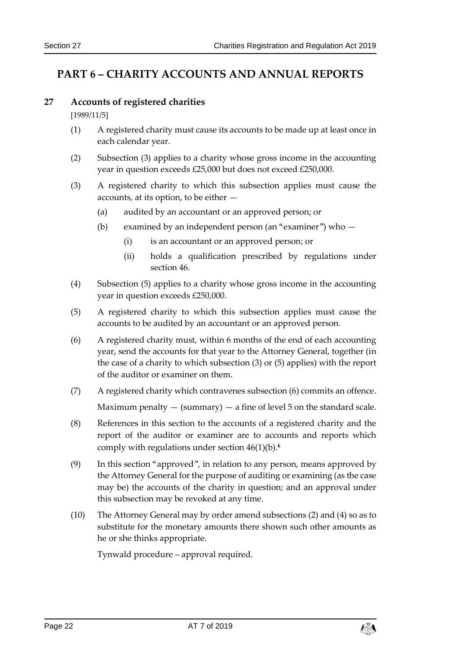## <span id="page-21-0"></span>**PART 6 – CHARITY ACCOUNTS AND ANNUAL REPORTS**

#### <span id="page-21-1"></span>**27 Accounts of registered charities**

[1989/11/5]

- (1) A registered charity must cause its accounts to be made up at least once in each calendar year.
- (2) Subsection (3) applies to a charity whose gross income in the accounting year in question exceeds £25,000 but does not exceed £250,000.
- (3) A registered charity to which this subsection applies must cause the accounts, at its option, to be either —
	- (a) audited by an accountant or an approved person; or
	- (b) examined by an independent person (an "examiner") who
		- (i) is an accountant or an approved person; or
		- (ii) holds a qualification prescribed by regulations under section 46.
- (4) Subsection (5) applies to a charity whose gross income in the accounting year in question exceeds £250,000.
- (5) A registered charity to which this subsection applies must cause the accounts to be audited by an accountant or an approved person.
- (6) A registered charity must, within 6 months of the end of each accounting year, send the accounts for that year to the Attorney General, together (in the case of a charity to which subsection (3) or (5) applies) with the report of the auditor or examiner on them.
- (7) A registered charity which contravenes subsection (6) commits an offence. Maximum penalty  $-$  (summary)  $-$  a fine of level 5 on the standard scale.
- (8) References in this section to the accounts of a registered charity and the report of the auditor or examiner are to accounts and reports which comply with regulations under section 46(1)(b).**<sup>6</sup>**
- (9) In this section "approved", in relation to any person, means approved by the Attorney General for the purpose of auditing or examining (as the case may be) the accounts of the charity in question; and an approval under this subsection may be revoked at any time.
- (10) The Attorney General may by order amend subsections (2) and (4) so as to substitute for the monetary amounts there shown such other amounts as he or she thinks appropriate.

Tynwald procedure – approval required.

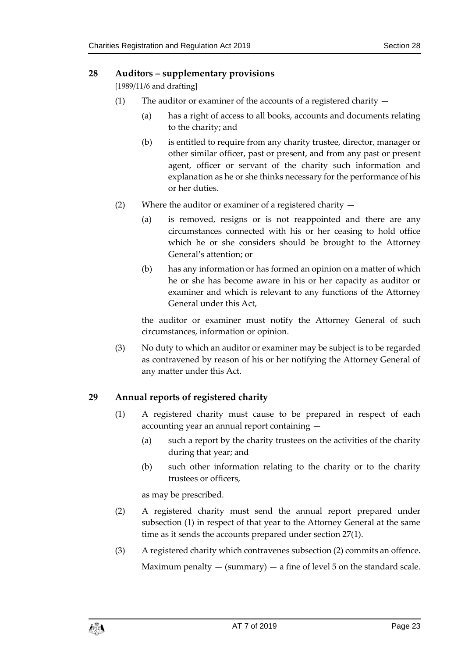#### <span id="page-22-0"></span>**28 Auditors – supplementary provisions**

[1989/11/6 and drafting]

- (1) The auditor or examiner of the accounts of a registered charity  $-$ 
	- (a) has a right of access to all books, accounts and documents relating to the charity; and
	- (b) is entitled to require from any charity trustee, director, manager or other similar officer, past or present, and from any past or present agent, officer or servant of the charity such information and explanation as he or she thinks necessary for the performance of his or her duties.
- (2) Where the auditor or examiner of a registered charity
	- (a) is removed, resigns or is not reappointed and there are any circumstances connected with his or her ceasing to hold office which he or she considers should be brought to the Attorney General's attention; or
	- (b) has any information or has formed an opinion on a matter of which he or she has become aware in his or her capacity as auditor or examiner and which is relevant to any functions of the Attorney General under this Act,

the auditor or examiner must notify the Attorney General of such circumstances, information or opinion.

(3) No duty to which an auditor or examiner may be subject is to be regarded as contravened by reason of his or her notifying the Attorney General of any matter under this Act.

#### <span id="page-22-1"></span>**29 Annual reports of registered charity**

- (1) A registered charity must cause to be prepared in respect of each accounting year an annual report containing —
	- (a) such a report by the charity trustees on the activities of the charity during that year; and
	- (b) such other information relating to the charity or to the charity trustees or officers,

as may be prescribed.

- (2) A registered charity must send the annual report prepared under subsection (1) in respect of that year to the Attorney General at the same time as it sends the accounts prepared under section 27(1).
- (3) A registered charity which contravenes subsection (2) commits an offence. Maximum penalty  $-$  (summary)  $-$  a fine of level 5 on the standard scale.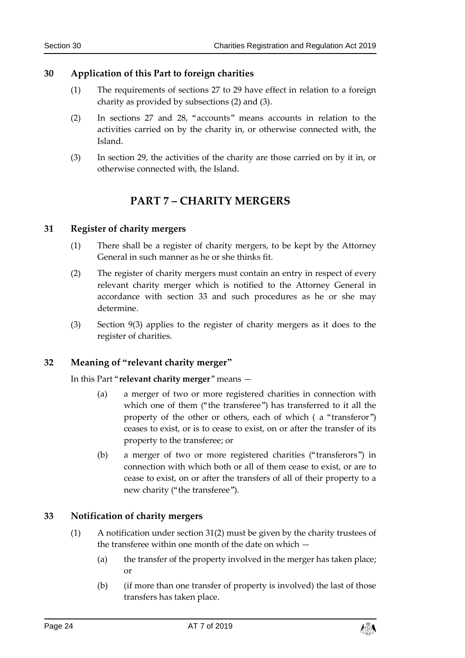#### <span id="page-23-0"></span>**30 Application of this Part to foreign charities**

- (1) The requirements of sections 27 to 29 have effect in relation to a foreign charity as provided by subsections (2) and (3).
- (2) In sections 27 and 28, "accounts" means accounts in relation to the activities carried on by the charity in, or otherwise connected with, the Island.
- <span id="page-23-1"></span>(3) In section 29, the activities of the charity are those carried on by it in, or otherwise connected with, the Island.

## **PART 7 – CHARITY MERGERS**

#### <span id="page-23-2"></span>**31 Register of charity mergers**

- (1) There shall be a register of charity mergers, to be kept by the Attorney General in such manner as he or she thinks fit.
- (2) The register of charity mergers must contain an entry in respect of every relevant charity merger which is notified to the Attorney General in accordance with section 33 and such procedures as he or she may determine.
- (3) Section 9(3) applies to the register of charity mergers as it does to the register of charities.

## <span id="page-23-3"></span>**32 Meaning of "relevant charity merger"**

#### In this Part "**relevant charity merger**" means —

- (a) a merger of two or more registered charities in connection with which one of them ("the transferee") has transferred to it all the property of the other or others, each of which ( a "transferor") ceases to exist, or is to cease to exist, on or after the transfer of its property to the transferee; or
- (b) a merger of two or more registered charities ("transferors") in connection with which both or all of them cease to exist, or are to cease to exist, on or after the transfers of all of their property to a new charity ("the transferee").

#### <span id="page-23-4"></span>**33 Notification of charity mergers**

- (1) A notification under section 31(2) must be given by the charity trustees of the transferee within one month of the date on which —
	- (a) the transfer of the property involved in the merger has taken place; or
	- (b) (if more than one transfer of property is involved) the last of those transfers has taken place.

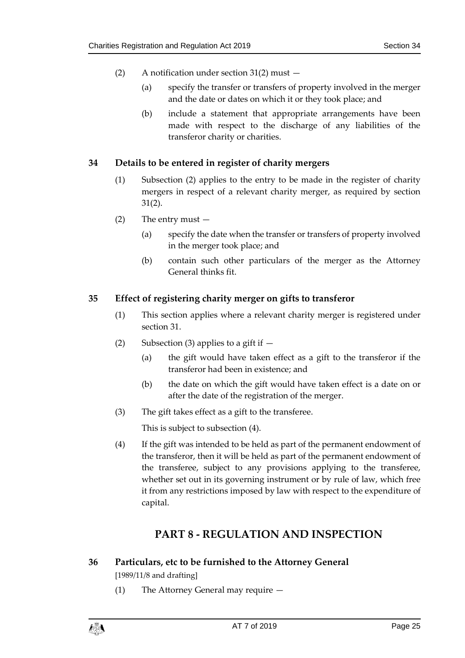- (2) A notification under section 31(2) must
	- (a) specify the transfer or transfers of property involved in the merger and the date or dates on which it or they took place; and
	- (b) include a statement that appropriate arrangements have been made with respect to the discharge of any liabilities of the transferor charity or charities.

#### <span id="page-24-0"></span>**34 Details to be entered in register of charity mergers**

- (1) Subsection (2) applies to the entry to be made in the register of charity mergers in respect of a relevant charity merger, as required by section 31(2).
- (2) The entry must
	- (a) specify the date when the transfer or transfers of property involved in the merger took place; and
	- (b) contain such other particulars of the merger as the Attorney General thinks fit.

#### <span id="page-24-1"></span>**35 Effect of registering charity merger on gifts to transferor**

- (1) This section applies where a relevant charity merger is registered under section 31.
- (2) Subsection (3) applies to a gift if  $-$ 
	- (a) the gift would have taken effect as a gift to the transferor if the transferor had been in existence; and
	- (b) the date on which the gift would have taken effect is a date on or after the date of the registration of the merger.
- (3) The gift takes effect as a gift to the transferee.

This is subject to subsection (4).

(4) If the gift was intended to be held as part of the permanent endowment of the transferor, then it will be held as part of the permanent endowment of the transferee, subject to any provisions applying to the transferee, whether set out in its governing instrument or by rule of law, which free it from any restrictions imposed by law with respect to the expenditure of capital.

## <span id="page-24-2"></span>**PART 8 - REGULATION AND INSPECTION**

#### <span id="page-24-3"></span>**36 Particulars, etc to be furnished to the Attorney General** [1989/11/8 and drafting]

(1) The Attorney General may require —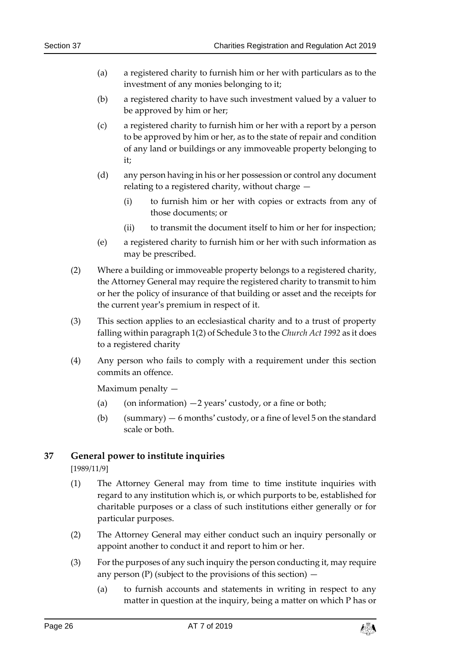- (a) a registered charity to furnish him or her with particulars as to the investment of any monies belonging to it;
- (b) a registered charity to have such investment valued by a valuer to be approved by him or her;
- (c) a registered charity to furnish him or her with a report by a person to be approved by him or her, as to the state of repair and condition of any land or buildings or any immoveable property belonging to it;
- (d) any person having in his or her possession or control any document relating to a registered charity, without charge —
	- (i) to furnish him or her with copies or extracts from any of those documents; or
	- (ii) to transmit the document itself to him or her for inspection;
- (e) a registered charity to furnish him or her with such information as may be prescribed.
- (2) Where a building or immoveable property belongs to a registered charity, the Attorney General may require the registered charity to transmit to him or her the policy of insurance of that building or asset and the receipts for the current year's premium in respect of it.
- (3) This section applies to an ecclesiastical charity and to a trust of property falling within paragraph 1(2) of Schedule 3 to the *Church Act 1992* as it does to a registered charity
- (4) Any person who fails to comply with a requirement under this section commits an offence.

Maximum penalty —

- (a) (on information)  $-2$  years' custody, or a fine or both;
- (b) (summary)  $-6$  months' custody, or a fine of level 5 on the standard scale or both.

#### <span id="page-25-0"></span>**37 General power to institute inquiries**

[1989/11/9]

- (1) The Attorney General may from time to time institute inquiries with regard to any institution which is, or which purports to be, established for charitable purposes or a class of such institutions either generally or for particular purposes.
- (2) The Attorney General may either conduct such an inquiry personally or appoint another to conduct it and report to him or her.
- (3) For the purposes of any such inquiry the person conducting it, may require any person  $(P)$  (subject to the provisions of this section)  $-$ 
	- (a) to furnish accounts and statements in writing in respect to any matter in question at the inquiry, being a matter on which P has or

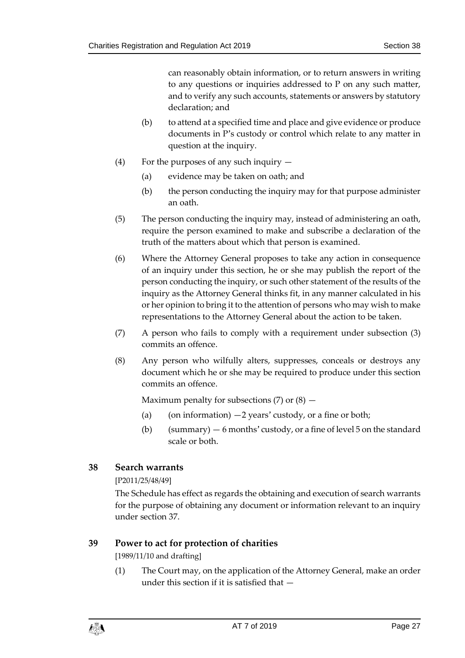can reasonably obtain information, or to return answers in writing to any questions or inquiries addressed to P on any such matter, and to verify any such accounts, statements or answers by statutory declaration; and

- (b) to attend at a specified time and place and give evidence or produce documents in P's custody or control which relate to any matter in question at the inquiry.
- (4) For the purposes of any such inquiry
	- (a) evidence may be taken on oath; and
	- (b) the person conducting the inquiry may for that purpose administer an oath.
- (5) The person conducting the inquiry may, instead of administering an oath, require the person examined to make and subscribe a declaration of the truth of the matters about which that person is examined.
- (6) Where the Attorney General proposes to take any action in consequence of an inquiry under this section, he or she may publish the report of the person conducting the inquiry, or such other statement of the results of the inquiry as the Attorney General thinks fit, in any manner calculated in his or her opinion to bring it to the attention of persons who may wish to make representations to the Attorney General about the action to be taken.
- (7) A person who fails to comply with a requirement under subsection (3) commits an offence.
- (8) Any person who wilfully alters, suppresses, conceals or destroys any document which he or she may be required to produce under this section commits an offence.

Maximum penalty for subsections  $(7)$  or  $(8)$  –

- (a) (on information)  $-2$  years' custody, or a fine or both;
- (b) (summary)  $-6$  months' custody, or a fine of level 5 on the standard scale or both.

#### <span id="page-26-0"></span>**38 Search warrants**

#### [P2011/25/48/49]

The Schedule has effect as regards the obtaining and execution of search warrants for the purpose of obtaining any document or information relevant to an inquiry under section 37.

#### <span id="page-26-1"></span>**39 Power to act for protection of charities**

 $[1989/11/10$  and drafting]

(1) The Court may, on the application of the Attorney General, make an order under this section if it is satisfied that —

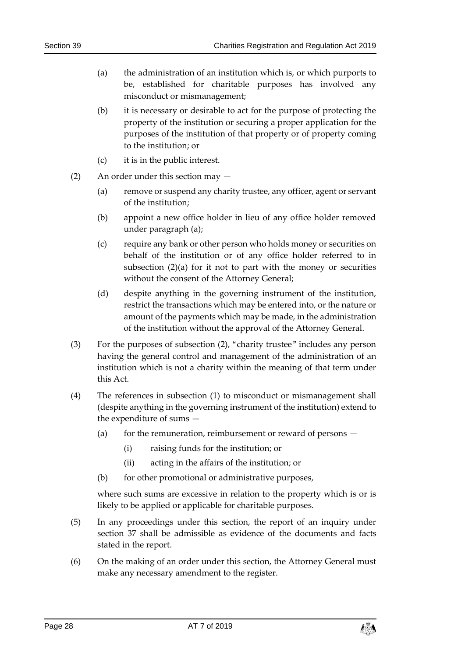- (a) the administration of an institution which is, or which purports to be, established for charitable purposes has involved any misconduct or mismanagement;
- (b) it is necessary or desirable to act for the purpose of protecting the property of the institution or securing a proper application for the purposes of the institution of that property or of property coming to the institution; or
- (c) it is in the public interest.
- (2) An order under this section may
	- (a) remove or suspend any charity trustee, any officer, agent or servant of the institution;
	- (b) appoint a new office holder in lieu of any office holder removed under paragraph (a);
	- (c) require any bank or other person who holds money or securities on behalf of the institution or of any office holder referred to in subsection  $(2)(a)$  for it not to part with the money or securities without the consent of the Attorney General;
	- (d) despite anything in the governing instrument of the institution, restrict the transactions which may be entered into, or the nature or amount of the payments which may be made, in the administration of the institution without the approval of the Attorney General.
- (3) For the purposes of subsection (2), "charity trustee" includes any person having the general control and management of the administration of an institution which is not a charity within the meaning of that term under this Act.
- (4) The references in subsection (1) to misconduct or mismanagement shall (despite anything in the governing instrument of the institution) extend to the expenditure of sums —
	- (a) for the remuneration, reimbursement or reward of persons  $-$ 
		- (i) raising funds for the institution; or
		- (ii) acting in the affairs of the institution; or
	- (b) for other promotional or administrative purposes,

where such sums are excessive in relation to the property which is or is likely to be applied or applicable for charitable purposes.

- (5) In any proceedings under this section, the report of an inquiry under section 37 shall be admissible as evidence of the documents and facts stated in the report.
- (6) On the making of an order under this section, the Attorney General must make any necessary amendment to the register.

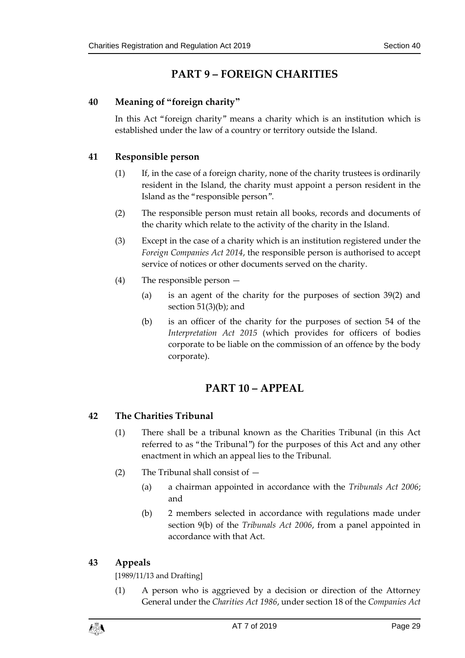## **PART 9 – FOREIGN CHARITIES**

#### <span id="page-28-1"></span><span id="page-28-0"></span>**40 Meaning of "foreign charity"**

In this Act "foreign charity" means a charity which is an institution which is established under the law of a country or territory outside the Island.

#### <span id="page-28-2"></span>**41 Responsible person**

- (1) If, in the case of a foreign charity, none of the charity trustees is ordinarily resident in the Island, the charity must appoint a person resident in the Island as the "responsible person".
- (2) The responsible person must retain all books, records and documents of the charity which relate to the activity of the charity in the Island.
- (3) Except in the case of a charity which is an institution registered under the *Foreign Companies Act 2014*, the responsible person is authorised to accept service of notices or other documents served on the charity.
- (4) The responsible person
	- (a) is an agent of the charity for the purposes of section 39(2) and section 51(3)(b); and
	- (b) is an officer of the charity for the purposes of section 54 of the *Interpretation Act 2015* (which provides for officers of bodies corporate to be liable on the commission of an offence by the body corporate).

## **PART 10 – APPEAL**

## <span id="page-28-4"></span><span id="page-28-3"></span>**42 The Charities Tribunal**

- (1) There shall be a tribunal known as the Charities Tribunal (in this Act referred to as "the Tribunal") for the purposes of this Act and any other enactment in which an appeal lies to the Tribunal.
- (2) The Tribunal shall consist of
	- (a) a chairman appointed in accordance with the *Tribunals Act 2006*; and
	- (b) 2 members selected in accordance with regulations made under section 9(b) of the *Tribunals Act 2006*, from a panel appointed in accordance with that Act.

#### <span id="page-28-5"></span>**43 Appeals**

[1989/11/13 and Drafting]

(1) A person who is aggrieved by a decision or direction of the Attorney General under the *Charities Act 1986*, under section 18 of the *Companies Act* 

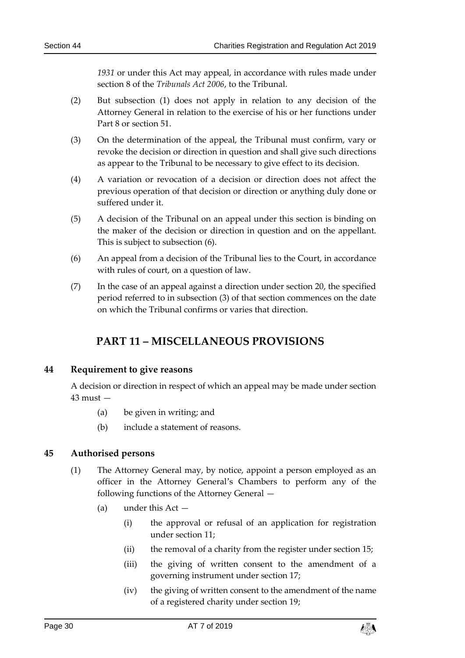*1931* or under this Act may appeal, in accordance with rules made under section 8 of the *Tribunals Act 2006*, to the Tribunal.

- (2) But subsection (1) does not apply in relation to any decision of the Attorney General in relation to the exercise of his or her functions under Part 8 or section 51.
- (3) On the determination of the appeal, the Tribunal must confirm, vary or revoke the decision or direction in question and shall give such directions as appear to the Tribunal to be necessary to give effect to its decision.
- (4) A variation or revocation of a decision or direction does not affect the previous operation of that decision or direction or anything duly done or suffered under it.
- (5) A decision of the Tribunal on an appeal under this section is binding on the maker of the decision or direction in question and on the appellant. This is subject to subsection (6).
- (6) An appeal from a decision of the Tribunal lies to the Court, in accordance with rules of court, on a question of law.
- <span id="page-29-0"></span>(7) In the case of an appeal against a direction under section 20, the specified period referred to in subsection (3) of that section commences on the date on which the Tribunal confirms or varies that direction.

## **PART 11 – MISCELLANEOUS PROVISIONS**

#### <span id="page-29-1"></span>**44 Requirement to give reasons**

A decision or direction in respect of which an appeal may be made under section 43 must —

- (a) be given in writing; and
- (b) include a statement of reasons.

#### <span id="page-29-2"></span>**45 Authorised persons**

- (1) The Attorney General may, by notice, appoint a person employed as an officer in the Attorney General's Chambers to perform any of the following functions of the Attorney General —
	- (a) under this Act
		- (i) the approval or refusal of an application for registration under section 11;
		- (ii) the removal of a charity from the register under section 15;
		- (iii) the giving of written consent to the amendment of a governing instrument under section 17;
		- (iv) the giving of written consent to the amendment of the name of a registered charity under section 19;

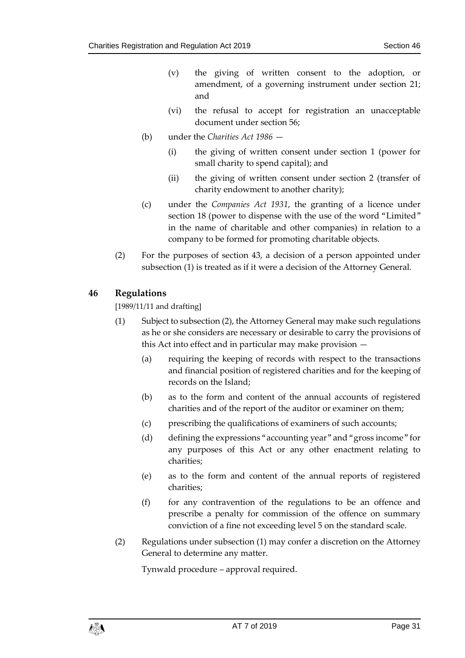- (v) the giving of written consent to the adoption, or amendment, of a governing instrument under section 21; and
- (vi) the refusal to accept for registration an unacceptable document under section 56;
- (b) under the *Charities Act 1986*
	- (i) the giving of written consent under section 1 (power for small charity to spend capital); and
	- (ii) the giving of written consent under section 2 (transfer of charity endowment to another charity);
- (c) under the *Companies Act 1931*, the granting of a licence under section 18 (power to dispense with the use of the word "Limited" in the name of charitable and other companies) in relation to a company to be formed for promoting charitable objects.
- (2) For the purposes of section 43, a decision of a person appointed under subsection (1) is treated as if it were a decision of the Attorney General.

#### <span id="page-30-0"></span>**46 Regulations**

[1989/11/11 and drafting]

- (1) Subject to subsection (2), the Attorney General may make such regulations as he or she considers are necessary or desirable to carry the provisions of this Act into effect and in particular may make provision —
	- (a) requiring the keeping of records with respect to the transactions and financial position of registered charities and for the keeping of records on the Island;
	- (b) as to the form and content of the annual accounts of registered charities and of the report of the auditor or examiner on them;
	- (c) prescribing the qualifications of examiners of such accounts;
	- (d) defining the expressions "accounting year" and "gross income" for any purposes of this Act or any other enactment relating to charities;
	- (e) as to the form and content of the annual reports of registered charities;
	- (f) for any contravention of the regulations to be an offence and prescribe a penalty for commission of the offence on summary conviction of a fine not exceeding level 5 on the standard scale.
- (2) Regulations under subsection (1) may confer a discretion on the Attorney General to determine any matter.

Tynwald procedure – approval required.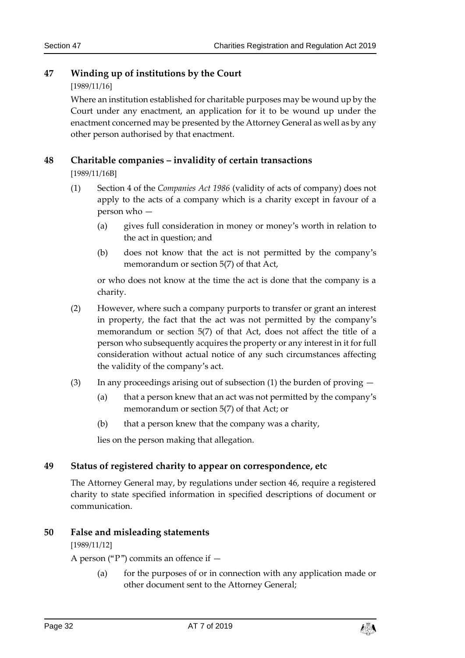#### <span id="page-31-0"></span>**47 Winding up of institutions by the Court**

#### [1989/11/16]

Where an institution established for charitable purposes may be wound up by the Court under any enactment, an application for it to be wound up under the enactment concerned may be presented by the Attorney General as well as by any other person authorised by that enactment.

#### <span id="page-31-1"></span>**48 Charitable companies – invalidity of certain transactions**

[1989/11/16B]

- (1) Section 4 of the *Companies Act 1986* (validity of acts of company) does not apply to the acts of a company which is a charity except in favour of a person who —
	- (a) gives full consideration in money or money's worth in relation to the act in question; and
	- (b) does not know that the act is not permitted by the company's memorandum or section 5(7) of that Act,

or who does not know at the time the act is done that the company is a charity.

- (2) However, where such a company purports to transfer or grant an interest in property, the fact that the act was not permitted by the company's memorandum or section 5(7) of that Act, does not affect the title of a person who subsequently acquires the property or any interest in it for full consideration without actual notice of any such circumstances affecting the validity of the company's act.
- (3) In any proceedings arising out of subsection (1) the burden of proving  $-$ 
	- (a) that a person knew that an act was not permitted by the company's memorandum or section 5(7) of that Act; or
	- (b) that a person knew that the company was a charity,

lies on the person making that allegation.

#### <span id="page-31-2"></span>**49 Status of registered charity to appear on correspondence, etc**

The Attorney General may, by regulations under section 46, require a registered charity to state specified information in specified descriptions of document or communication.

#### <span id="page-31-3"></span>**50 False and misleading statements**

[1989/11/12]

A person ("P") commits an offence if  $-$ 

(a) for the purposes of or in connection with any application made or other document sent to the Attorney General;

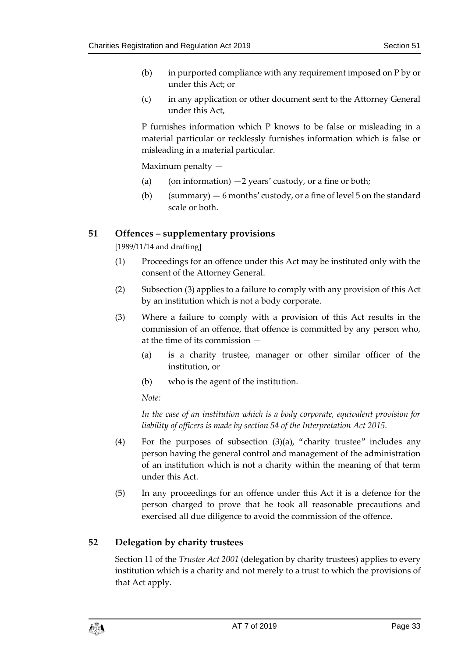- (b) in purported compliance with any requirement imposed on P by or under this Act; or
- (c) in any application or other document sent to the Attorney General under this Act,

P furnishes information which P knows to be false or misleading in a material particular or recklessly furnishes information which is false or misleading in a material particular.

Maximum penalty —

- (a) (on information)  $-2$  years' custody, or a fine or both;
- (b) (summary)  $-6$  months' custody, or a fine of level 5 on the standard scale or both.

#### <span id="page-32-0"></span>**51 Offences – supplementary provisions**

[1989/11/14 and drafting]

- (1) Proceedings for an offence under this Act may be instituted only with the consent of the Attorney General.
- (2) Subsection (3) applies to a failure to comply with any provision of this Act by an institution which is not a body corporate.
- (3) Where a failure to comply with a provision of this Act results in the commission of an offence, that offence is committed by any person who, at the time of its commission —
	- (a) is a charity trustee, manager or other similar officer of the institution, or
	- (b) who is the agent of the institution.

*Note:*

*In the case of an institution which is a body corporate, equivalent provision for liability of officers is made by section 54 of the Interpretation Act 2015.*

- (4) For the purposes of subsection (3)(a), "charity trustee" includes any person having the general control and management of the administration of an institution which is not a charity within the meaning of that term under this Act.
- (5) In any proceedings for an offence under this Act it is a defence for the person charged to prove that he took all reasonable precautions and exercised all due diligence to avoid the commission of the offence.

#### <span id="page-32-1"></span>**52 Delegation by charity trustees**

Section 11 of the *Trustee Act 2001* (delegation by charity trustees) applies to every institution which is a charity and not merely to a trust to which the provisions of that Act apply.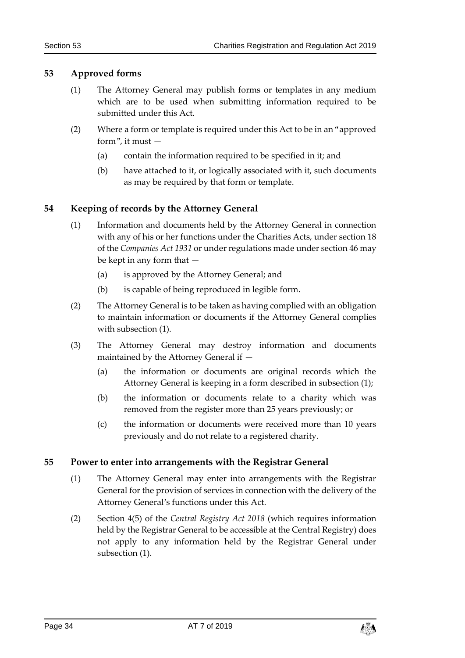#### <span id="page-33-0"></span>**53 Approved forms**

- (1) The Attorney General may publish forms or templates in any medium which are to be used when submitting information required to be submitted under this Act.
- (2) Where a form or template is required under this Act to be in an "approved form", it must —
	- (a) contain the information required to be specified in it; and
	- (b) have attached to it, or logically associated with it, such documents as may be required by that form or template.

#### <span id="page-33-1"></span>**54 Keeping of records by the Attorney General**

- (1) Information and documents held by the Attorney General in connection with any of his or her functions under the Charities Acts, under section 18 of the *Companies Act 1931* or under regulations made under section 46 may be kept in any form that —
	- (a) is approved by the Attorney General; and
	- (b) is capable of being reproduced in legible form.
- (2) The Attorney General is to be taken as having complied with an obligation to maintain information or documents if the Attorney General complies with subsection (1).
- (3) The Attorney General may destroy information and documents maintained by the Attorney General if —
	- (a) the information or documents are original records which the Attorney General is keeping in a form described in subsection (1);
	- (b) the information or documents relate to a charity which was removed from the register more than 25 years previously; or
	- (c) the information or documents were received more than 10 years previously and do not relate to a registered charity.

#### <span id="page-33-2"></span>**55 Power to enter into arrangements with the Registrar General**

- (1) The Attorney General may enter into arrangements with the Registrar General for the provision of services in connection with the delivery of the Attorney General's functions under this Act.
- (2) Section 4(5) of the *Central Registry Act 2018* (which requires information held by the Registrar General to be accessible at the Central Registry) does not apply to any information held by the Registrar General under subsection (1).

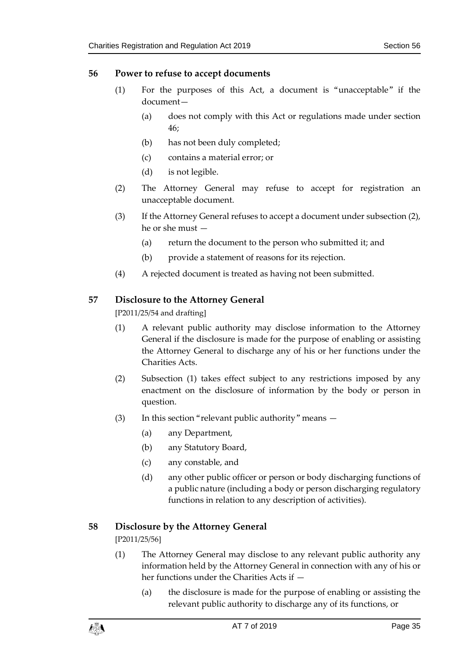#### <span id="page-34-0"></span>**56 Power to refuse to accept documents**

- (1) For the purposes of this Act, a document is "unacceptable" if the document—
	- (a) does not comply with this Act or regulations made under section 46;
	- (b) has not been duly completed;
	- (c) contains a material error; or
	- (d) is not legible.
- (2) The Attorney General may refuse to accept for registration an unacceptable document.
- (3) If the Attorney General refuses to accept a document under subsection (2), he or she must —
	- (a) return the document to the person who submitted it; and
	- (b) provide a statement of reasons for its rejection.
- (4) A rejected document is treated as having not been submitted.

#### <span id="page-34-1"></span>**57 Disclosure to the Attorney General**

[P2011/25/54 and drafting]

- (1) A relevant public authority may disclose information to the Attorney General if the disclosure is made for the purpose of enabling or assisting the Attorney General to discharge any of his or her functions under the Charities Acts.
- (2) Subsection (1) takes effect subject to any restrictions imposed by any enactment on the disclosure of information by the body or person in question.
- (3) In this section "relevant public authority" means
	- (a) any Department,
	- (b) any Statutory Board,
	- (c) any constable, and
	- (d) any other public officer or person or body discharging functions of a public nature (including a body or person discharging regulatory functions in relation to any description of activities).

#### <span id="page-34-2"></span>**58 Disclosure by the Attorney General**

[P2011/25/56]

- (1) The Attorney General may disclose to any relevant public authority any information held by the Attorney General in connection with any of his or her functions under the Charities Acts if —
	- (a) the disclosure is made for the purpose of enabling or assisting the relevant public authority to discharge any of its functions, or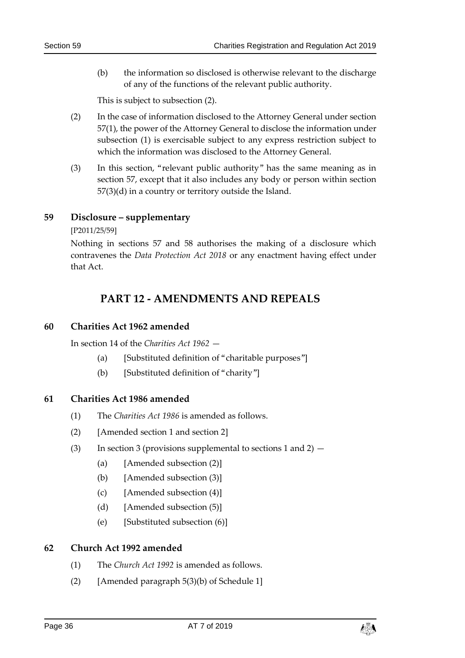(b) the information so disclosed is otherwise relevant to the discharge of any of the functions of the relevant public authority.

This is subject to subsection (2).

- (2) In the case of information disclosed to the Attorney General under section 57(1), the power of the Attorney General to disclose the information under subsection (1) is exercisable subject to any express restriction subject to which the information was disclosed to the Attorney General.
- (3) In this section, "relevant public authority" has the same meaning as in section 57, except that it also includes any body or person within section 57(3)(d) in a country or territory outside the Island.

#### <span id="page-35-0"></span>**59 Disclosure – supplementary**

[P2011/25/59]

<span id="page-35-1"></span>Nothing in sections 57 and 58 authorises the making of a disclosure which contravenes the *Data Protection Act 2018* or any enactment having effect under that Act.

## **PART 12 - AMENDMENTS AND REPEALS**

#### <span id="page-35-2"></span>**60 Charities Act 1962 amended**

In section 14 of the *Charities Act 1962* —

- (a) [Substituted definition of "charitable purposes"]
- (b) [Substituted definition of "charity"]

#### <span id="page-35-3"></span>**61 Charities Act 1986 amended**

- (1) The *Charities Act 1986* is amended as follows.
- (2) [Amended section 1 and section 2]
- (3) In section 3 (provisions supplemental to sections 1 and 2)  $-$ 
	- (a) [Amended subsection (2)]
	- (b) [Amended subsection (3)]
	- (c) [Amended subsection (4)]
	- (d) [Amended subsection (5)]
	- (e) [Substituted subsection (6)]

#### <span id="page-35-4"></span>**62 Church Act 1992 amended**

- (1) The *Church Act 1992* is amended as follows.
- (2) [Amended paragraph  $5(3)(b)$  of Schedule 1]

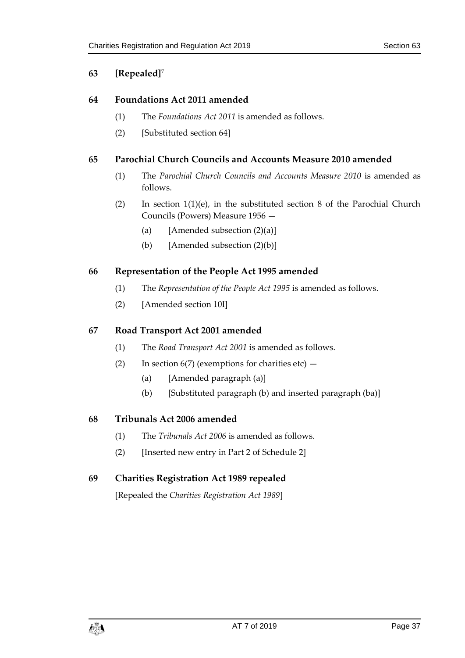#### <span id="page-36-0"></span>**63 [Repealed]**<sup>7</sup>

#### <span id="page-36-1"></span>**64 Foundations Act 2011 amended**

- (1) The *Foundations Act 2011* is amended as follows.
- (2) [Substituted section 64]

#### <span id="page-36-2"></span>**65 Parochial Church Councils and Accounts Measure 2010 amended**

- (1) The *Parochial Church Councils and Accounts Measure 2010* is amended as follows.
- (2) In section  $1(1)(e)$ , in the substituted section 8 of the Parochial Church Councils (Powers) Measure 1956 —
	- (a) [Amended subsection  $(2)(a)$ ]
	- (b) [Amended subsection  $(2)(b)$ ]

#### <span id="page-36-3"></span>**66 Representation of the People Act 1995 amended**

- (1) The *Representation of the People Act 1995* is amended as follows.
- (2) [Amended section 10I]

#### <span id="page-36-4"></span>**67 Road Transport Act 2001 amended**

- (1) The *Road Transport Act 2001* is amended as follows.
- (2) In section  $6(7)$  (exemptions for charities etc)  $-$ 
	- (a) [Amended paragraph (a)]
	- (b) [Substituted paragraph (b) and inserted paragraph (ba)]

#### <span id="page-36-5"></span>**68 Tribunals Act 2006 amended**

- (1) The *Tribunals Act 2006* is amended as follows.
- (2) [Inserted new entry in Part 2 of Schedule 2]

#### <span id="page-36-6"></span>**69 Charities Registration Act 1989 repealed**

[Repealed the *Charities Registration Act 1989*]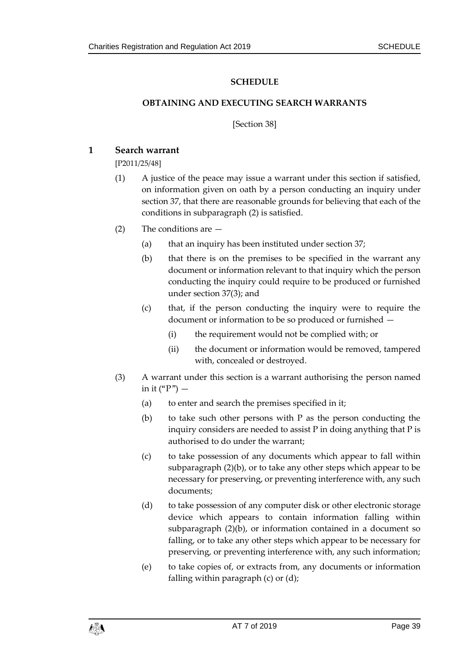#### **SCHEDULE**

#### <span id="page-38-0"></span>**OBTAINING AND EXECUTING SEARCH WARRANTS**

[Section 38]

#### <span id="page-38-1"></span>**1 Search warrant**

[P2011/25/48]

- (1) A justice of the peace may issue a warrant under this section if satisfied, on information given on oath by a person conducting an inquiry under section 37, that there are reasonable grounds for believing that each of the conditions in subparagraph (2) is satisfied.
- (2) The conditions are
	- (a) that an inquiry has been instituted under section 37;
	- (b) that there is on the premises to be specified in the warrant any document or information relevant to that inquiry which the person conducting the inquiry could require to be produced or furnished under section 37(3); and
	- (c) that, if the person conducting the inquiry were to require the document or information to be so produced or furnished —
		- (i) the requirement would not be complied with; or
		- (ii) the document or information would be removed, tampered with, concealed or destroyed.
- (3) A warrant under this section is a warrant authorising the person named in it (" $P"$ ) —
	- (a) to enter and search the premises specified in it;
	- (b) to take such other persons with  $P$  as the person conducting the inquiry considers are needed to assist  $P$  in doing anything that  $P$  is authorised to do under the warrant;
	- (c) to take possession of any documents which appear to fall within subparagraph (2)(b), or to take any other steps which appear to be necessary for preserving, or preventing interference with, any such documents;
	- (d) to take possession of any computer disk or other electronic storage device which appears to contain information falling within subparagraph (2)(b), or information contained in a document so falling, or to take any other steps which appear to be necessary for preserving, or preventing interference with, any such information;
	- (e) to take copies of, or extracts from, any documents or information falling within paragraph  $(c)$  or  $(d)$ ;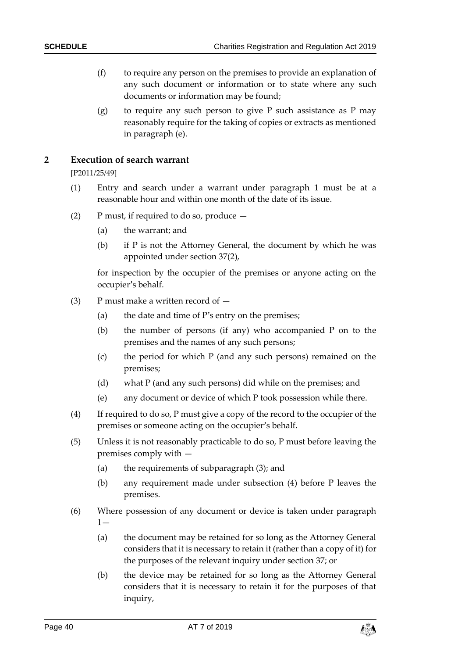- (f) to require any person on the premises to provide an explanation of any such document or information or to state where any such documents or information may be found;
- (g) to require any such person to give P such assistance as P may reasonably require for the taking of copies or extracts as mentioned in paragraph (e).

#### **2 Execution of search warrant**

#### [P2011/25/49]

- (1) Entry and search under a warrant under paragraph 1 must be at a reasonable hour and within one month of the date of its issue.
- (2) P must, if required to do so, produce
	- (a) the warrant; and
	- (b) if P is not the Attorney General, the document by which he was appointed under section 37(2),

for inspection by the occupier of the premises or anyone acting on the occupier's behalf.

- (3) P must make a written record of  $-$ 
	- (a) the date and time of P's entry on the premises;
	- (b) the number of persons (if any) who accompanied P on to the premises and the names of any such persons;
	- (c) the period for which P (and any such persons) remained on the premises;
	- (d) what P (and any such persons) did while on the premises; and
	- (e) any document or device of which P took possession while there.
- (4) If required to do so, P must give a copy of the record to the occupier of the premises or someone acting on the occupier's behalf.
- (5) Unless it is not reasonably practicable to do so, P must before leaving the premises comply with —
	- (a) the requirements of subparagraph (3); and
	- (b) any requirement made under subsection (4) before P leaves the premises.
- (6) Where possession of any document or device is taken under paragraph  $1-$ 
	- (a) the document may be retained for so long as the Attorney General considers that it is necessary to retain it (rather than a copy of it) for the purposes of the relevant inquiry under section 37; or
	- (b) the device may be retained for so long as the Attorney General considers that it is necessary to retain it for the purposes of that inquiry,

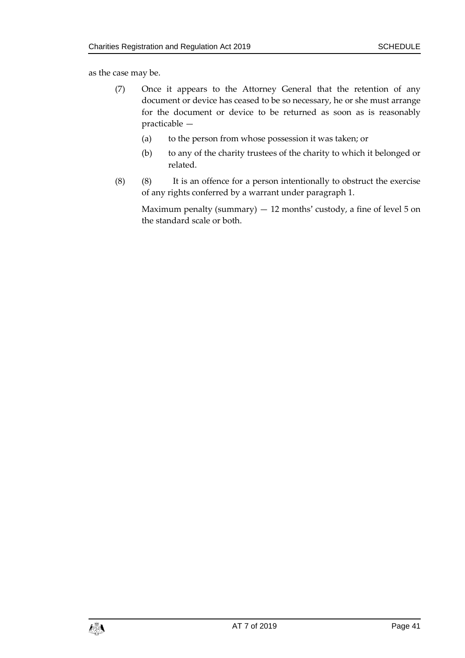as the case may be.

- (7) Once it appears to the Attorney General that the retention of any document or device has ceased to be so necessary, he or she must arrange for the document or device to be returned as soon as is reasonably practicable —
	- (a) to the person from whose possession it was taken; or
	- (b) to any of the charity trustees of the charity to which it belonged or related.
- (8) (8) It is an offence for a person intentionally to obstruct the exercise of any rights conferred by a warrant under paragraph 1.

Maximum penalty (summary)  $-12$  months' custody, a fine of level 5 on the standard scale or both.